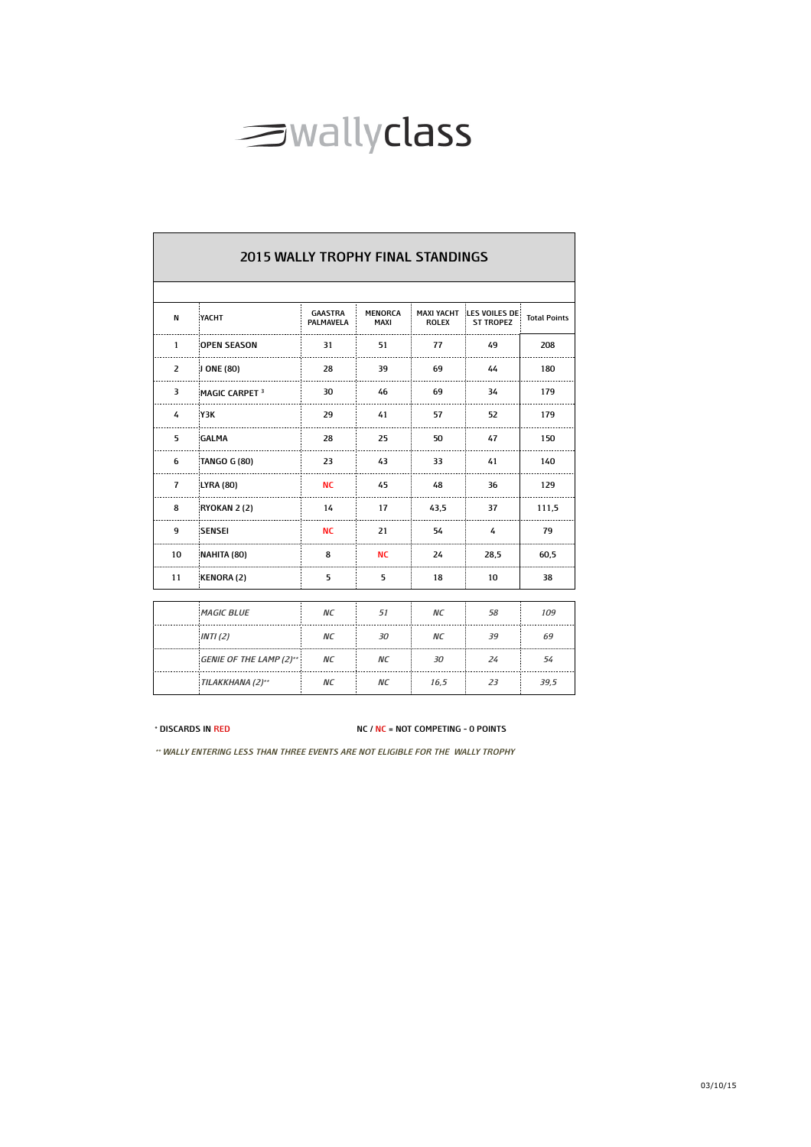

|                | <b>2015 WALLY TROPHY FINAL STANDINGS</b> |                             |                        |                                   |                                   |                     |  |  |  |
|----------------|------------------------------------------|-----------------------------|------------------------|-----------------------------------|-----------------------------------|---------------------|--|--|--|
| N              | YACHT                                    | <b>GAASTRA</b><br>PALMAVELA | <b>MENORCA</b><br>MAXI | <b>MAXI YACHT</b><br><b>ROLEX</b> | LES VOILES DE<br><b>ST TROPEZ</b> | <b>Total Points</b> |  |  |  |
| $\mathbf{1}$   | <b>OPEN SEASON</b>                       | 31                          | 51                     | 77                                | 49                                | 208                 |  |  |  |
| $\overline{2}$ | J ONE (80)                               | 28                          | 39                     | 69                                | 44                                | 180                 |  |  |  |
| 3              | MAGIC CARPET <sup>3</sup>                | 30                          | 46                     | 69                                | 34                                | 179                 |  |  |  |
| 4              | Y3K                                      | 29                          | 41                     | 57                                | 52                                | 179                 |  |  |  |
| 5              | <b>GALMA</b>                             | 28                          | 25                     | 50                                | 47                                | 150                 |  |  |  |
| 6              | TANGO G (80)                             | 23                          | 43                     | 33                                | 41                                | 140                 |  |  |  |
| $\overline{7}$ | <b>LYRA (80)</b>                         | <b>NC</b>                   | 45                     | 48                                | 36                                | 129                 |  |  |  |
| 8              | RYOKAN 2 (2)                             | 14                          | 17                     | 43,5                              | 37                                | 111,5               |  |  |  |
| 9              | <b>SENSEI</b>                            | <b>NC</b>                   | 21                     | 54                                | 4                                 | 79                  |  |  |  |
| 10             | NAHITA (80)                              | 8                           | NC                     | 24                                | 28,5                              | 60,5                |  |  |  |
| 11             | KENORA (2)                               | 5                           | 5                      | 18                                | 10                                | 38                  |  |  |  |
|                |                                          |                             |                        |                                   |                                   |                     |  |  |  |
|                | <b>MAGIC BLUE</b>                        | <b>NC</b>                   | 51                     | ΝC                                | 58                                | 109                 |  |  |  |
|                | INTI (2)                                 | ΝC                          | 30                     | ΝC                                | 39                                | 69                  |  |  |  |
|                | <b>GENIE OF THE LAMP (2)**</b>           | ΝC                          | ΝC                     | 30                                | 24                                | 54                  |  |  |  |
|                | TILAKKHANA (2)**                         | ΝC                          | ΝC                     | 16,5                              | 23                                | 39,5                |  |  |  |

## **\* DISCARDS IN RED NC / NC = NOT COMPETING - 0 POINTS**

**\*\* WALLY ENTERING LESS THAN THREE EVENTS ARE NOT ELIGIBLE FOR THE WALLY TROPHY**